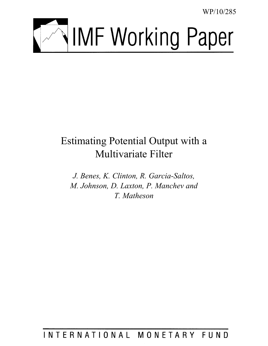WP/10/285



# Estimating Potential Output with a Multivariate Filter

*J. Benes, K. Clinton, R. Garcia-Saltos, M. Johnson, D. Laxton, P. Manchev and T. Matheson* 

INTERNATIONAL MONETARY FUND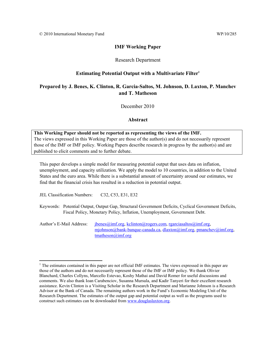# **IMF Working Paper**

# Research Department

# **Estimating Potential Output with a Multivariate Filter1**

# **Prepared by J. Benes, K. Clinton, R. Garcia-Saltos, M. Johnson, D. Laxton, P. Manchev and T. Matheson**

December 2010

# **Abstract**

# **This Working Paper should not be reported as representing the views of the IMF.** The views expressed in this Working Paper are those of the author(s) and do not necessarily represent those of the IMF or IMF policy. Working Papers describe research in progress by the author(s) and are published to elicit comments and to further debate.

This paper develops a simple model for measuring potential output that uses data on inflation, unemployment, and capacity utilization. We apply the model to 10 countries, in addition to the United States and the euro area. While there is a substantial amount of uncertainty around our estimates, we find that the financial crisis has resulted in a reduction in potential output.

JEL Classification Numbers: C32, C53, E31, E32

 $\overline{a}$ 

Keywords: Potential Output, Output Gap, Structural Government Deficits, Cyclical Government Deficits, Fiscal Policy, Monetary Policy, Inflation, Unemployment, Government Debt.

Author's E-Mail Address: jbenes@imf.org, kclinton@rogers.com, rgarciasaltos@imf.org, mjohnson@bank-banque-canada.ca, dlaxton@imf.org, pmanchev@imf.org, tmatheson@imf.org

<sup>&</sup>lt;sup>1</sup> The estimates contained in this paper are not official IMF estimates. The views expressed in this paper are those of the authors and do not necessarily represent those of the IMF or IMF policy. We thank Olivier Blanchard, Charles Collyns, Marcello Estevao, Koshy Mathai and David Romer for useful discussions and comments. We also thank Ioan Carabenciov, Susanna Mursula, and Kadir Tanyeri for their excellent research assistance. Kevin Clinton is a Visiting Scholar in the Research Department and Marianne Johnson is a Research Advisor at the Bank of Canada. The remaining authors work in the Fund's Economic Modeling Unit of the Research Department. The estimates of the output gap and potential output as well as the programs used to construct such estimates can be downloaded from www.douglaslaxton.org.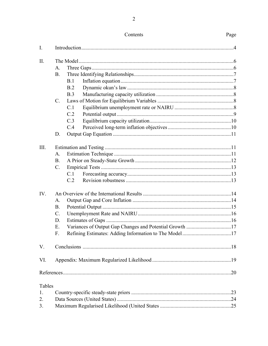| I.     |                                                             |  |  |  |  |
|--------|-------------------------------------------------------------|--|--|--|--|
| II.    |                                                             |  |  |  |  |
|        | A.                                                          |  |  |  |  |
|        | <b>B.</b>                                                   |  |  |  |  |
|        | B.1                                                         |  |  |  |  |
|        | B.2                                                         |  |  |  |  |
|        | B.3                                                         |  |  |  |  |
|        | $C_{\cdot}$                                                 |  |  |  |  |
|        | C.1                                                         |  |  |  |  |
|        | C.2                                                         |  |  |  |  |
|        | C.3                                                         |  |  |  |  |
|        | C.4                                                         |  |  |  |  |
|        | D.                                                          |  |  |  |  |
| III.   |                                                             |  |  |  |  |
|        | A.                                                          |  |  |  |  |
|        | <b>B.</b>                                                   |  |  |  |  |
|        | $C_{\cdot}$                                                 |  |  |  |  |
|        | C.1                                                         |  |  |  |  |
|        | C.2                                                         |  |  |  |  |
| IV.    |                                                             |  |  |  |  |
|        | A.                                                          |  |  |  |  |
|        | <b>B.</b>                                                   |  |  |  |  |
|        | $\mathcal{C}$ .                                             |  |  |  |  |
|        | D.                                                          |  |  |  |  |
|        | Ε.                                                          |  |  |  |  |
|        | Refining Estimates: Adding Information to The Model17<br>F. |  |  |  |  |
| V.     |                                                             |  |  |  |  |
| VI.    |                                                             |  |  |  |  |
|        |                                                             |  |  |  |  |
| Tables |                                                             |  |  |  |  |
| 1.     |                                                             |  |  |  |  |
| 2.     |                                                             |  |  |  |  |
| 3.     |                                                             |  |  |  |  |

# Contents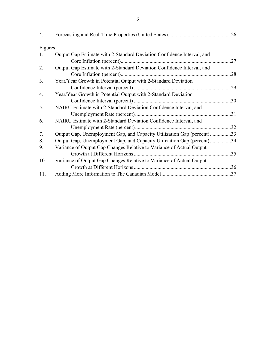| 4.      |                                                                        |     |
|---------|------------------------------------------------------------------------|-----|
| Figures |                                                                        |     |
| 1.      | Output Gap Estimate with 2-Standard Deviation Confidence Interval, and |     |
|         |                                                                        | .27 |
| 2.      | Output Gap Estimate with 2-Standard Deviation Confidence Interval, and |     |
|         |                                                                        | .28 |
| 3.      | Year/Year Growth in Potential Output with 2-Standard Deviation         |     |
|         |                                                                        | .29 |
| 4.      | Year/Year Growth in Potential Output with 2-Standard Deviation         |     |
|         |                                                                        | .30 |
| 5.      | NAIRU Estimate with 2-Standard Deviation Confidence Interval, and      |     |
|         |                                                                        |     |
| 6.      | NAIRU Estimate with 2-Standard Deviation Confidence Interval, and      |     |
|         |                                                                        |     |
| 7.      | Output Gap, Unemployment Gap, and Capacity Utilization Gap (percent)33 |     |
| 8.      | Output Gap, Unemployment Gap, and Capacity Utilization Gap (percent)34 |     |
| 9.      | Variance of Output Gap Changes Relative to Variance of Actual Output   |     |
|         |                                                                        |     |
| 10.     | Variance of Output Gap Changes Relative to Variance of Actual Output   |     |
|         |                                                                        |     |
| 11.     |                                                                        |     |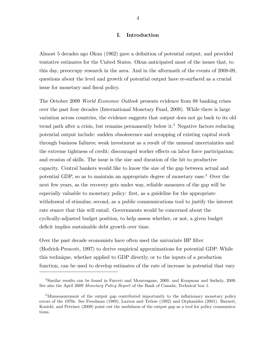# I. Introduction

Almost 5 decades ago Okun (1962) gave a definition of potential output, and provided tentative estimates for the United States. Okun anticipated most of the issues that, to this day, preoccupy research in the area. And in the aftermath of the events of 2008-09, questions about the level and growth of potential output have re-surfaced as a crucial issue for monetary and fiscal policy.

The October 2009 World Economic Outlook presents evidence from 88 banking crises over the past four decades (International Monetary Fund, 2009). While there is large variation across countries, the evidence suggests that output does not go back to its old trend path after a crisis, but remains permanently below it.<sup>2</sup> Negative factors reducing potential output include: sudden obsolescence and scrapping of existing capital stock through business failures; weak investment as a result of the unusual uncertainties and the extreme tightness of credit; discouraged worker effects on labor force participation; and erosion of skills. The issue is the size and duration of the hit to productive capacity. Central bankers would like to know the size of the gap between actual and potential GDP, so as to maintain an appropriate degree of monetary ease.<sup>3</sup> Over the next few years, as the recovery gets under way, reliable measures of the gap will be especially valuable to monetary policy: first, as a guideline for the appropriate withdrawal of stimulus; second, as a public communications tool to justify the interest rate stance that this will entail. Governments would be concerned about the cyclically-adjusted budget position, to help assess whether, or not, a given budget deficit implies sustainable debt growth over time.

Over the past decade economists have often used the univariate HP filter (Hodrick-Prescott, 1997) to derive empirical approximations for potential GDP. While this technique, whether applied to GDP directly, or to the inputs of a production function, can be used to develop estimates of the rate of increase in potential that vary

<sup>&</sup>lt;sup>2</sup>Similar results can be found in Furceri and Mourougane, 2009, and Koopman and Székely, 2009. See also the April 2009 Monetary Policy Report of the Bank of Canada, Technical box 1.

<sup>&</sup>lt;sup>3</sup>Mismeasurement of the output gap contributed importantly to the inflationary monetary policy errors of the 1970s. See Freedman (1989), Laxton and Tetlow (1992) and Orphanides (2001). Barnett, Kozicki, and Petrinec (2009) point out the usefulness of the output gap as a tool for policy communications.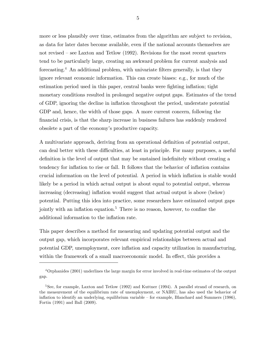more or less plausibly over time, estimates from the algorithm are subject to revision, as data for later dates become available, even if the national accounts themselves are not revised  $-$  see Laxton and Tetlow (1992). Revisions for the most recent quarters tend to be particularly large, creating an awkward problem for current analysis and forecasting.<sup>4</sup> An additional problem, with univariate filters generally, is that they ignore relevant economic information. This can create biases: e.g., for much of the estimation period used in this paper, central banks were fighting inflation; tight monetary conditions resulted in prolonged negative output gaps. Estimates of the trend of GDP, ignoring the decline in ináation throughout the period, understate potential GDP and, hence, the width of those gaps. A more current concern, following the Önancial crisis, is that the sharp increase in business failures has suddenly rendered obsolete a part of the economyís productive capacity.

A multivariate approach, deriving from an operational definition of potential output, can deal better with these difficulties, at least in principle. For many purposes, a useful definition is the level of output that may be sustained indefinitely without creating a tendency for inflation to rise or fall. It follows that the behavior of inflation contains crucial information on the level of potential. A period in which inflation is stable would likely be a period in which actual output is about equal to potential output, whereas increasing (decreasing) inflation would suggest that actual output is above (below) potential. Putting this idea into practice, some researchers have estimated output gaps jointly with an inflation equation.<sup>5</sup> There is no reason, however, to confine the additional information to the inflation rate.

This paper describes a method for measuring and updating potential output and the output gap, which incorporates relevant empirical relationships between actual and potential GDP, unemployment, core ináation and capacity utilization in manufacturing, within the framework of a small macroeconomic model. In effect, this provides a

5

<sup>4</sup>Orphanides (2001) underlines the large margin for error involved in real-time estimates of the output gap.

<sup>&</sup>lt;sup>5</sup>See, for example, Laxton and Tetlow  $(1992)$  and Kuttner  $(1994)$ . A parallel strand of research, on the measurement of the equilibrium rate of unemployment, or NAIRU, has also used the behavior of inflation to identify an underlying, equilibrium variable  $-$  for example, Blanchard and Summers (1986), Fortin (1991) and Ball (2009).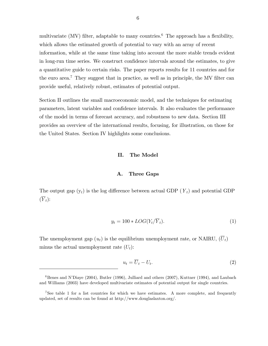multivariate (MV) filter, adaptable to many countries.<sup>6</sup> The approach has a flexibility, which allows the estimated growth of potential to vary with an array of recent information, while at the same time taking into account the more stable trends evident in long-run time series. We construct confidence intervals around the estimates, to give a quantitative guide to certain risks. The paper reports results for 11 countries and for the euro area.<sup>7</sup> They suggest that in practice, as well as in principle, the MV filter can provide useful, relatively robust, estimates of potential output.

Section II outlines the small macroeconomic model, and the techniques for estimating parameters, latent variables and confidence intervals. It also evaluates the performance of the model in terms of forecast accuracy, and robustness to new data. Section III provides an overview of the international results, focusing, for illustration, on those for the United States. Section IV highlights some conclusions.

#### II. The Model

#### A. Three Gaps

The output gap  $(y_t)$  is the log difference between actual GDP  $(Y_t)$  and potential GDP  $(\overline{Y}_t)$ :

$$
y_t = 100 * LOG(Y_t/\overline{Y}_t). \tag{1}
$$

The unemployment gap  $(u_t)$  is the equilibrium unemployment rate, or NAIRU,  $(\overline{U}_t)$ minus the actual unemployment rate  $(U_t)$ :

$$
u_t = \overline{U}_t - U_t. \tag{2}
$$

 $6$ Benes and N'Diaye (2004), Butler (1996), Julliard and others (2007), Kuttner (1994), and Laubach and Williams (2003) have developed multivariate estimates of potential output for single countries.

<sup>&</sup>lt;sup>7</sup>See table 1 for a list countries for which we have estimates. A more complete, and frequently updated, set of results can be found at http://www.douglaslaxton.org/.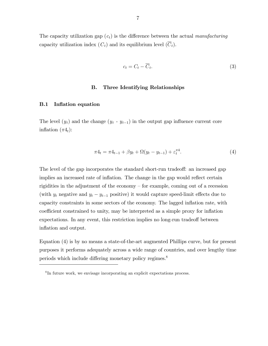The capacity utilization gap  $(c_t)$  is the difference between the actual manufacturing capacity utilization index  $(C_t)$  and its equilibrium level  $(\overline{C}_t)$ .

$$
c_t = C_t - \overline{C}_t. \tag{3}
$$

#### B. Three Identifying Relationships

#### B.1 Inflation equation

The level  $(y_t)$  and the change  $(y_t - y_{t-1})$  in the output gap influence current core inflation  $(\pi 4_t)$ :

$$
\pi 4_t = \pi 4_{t-1} + \beta y_t + \Omega (y_t - y_{t-1}) + \varepsilon_t^{\pi 4}.
$$
 (4)

The level of the gap incorporates the standard short-run tradeoff: an increased gap implies an increased rate of inflation. The change in the gap would reflect certain rigidities in the adjustment of the economy  $-$  for example, coming out of a recession (with  $y_t$  negative and  $y_t - y_{t-1}$  positive) it would capture speed-limit effects due to capacity constraints in some sectors of the economy. The lagged ináation rate, with coefficient constrained to unity, may be interpreted as a simple proxy for inflation expectations. In any event, this restriction implies no long-run tradeoff between inflation and output.

Equation (4) is by no means a state-of-the-art augmented Phillips curve, but for present purposes it performs adequately across a wide range of countries, and over lengthy time periods which include differing monetary policy regimes. $8$ 

<sup>8</sup> In future work, we envisage incorporating an explicit expectations process.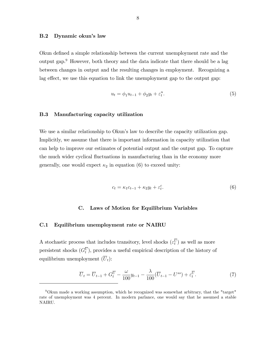## B.2 Dynamic okun's law

Okun defined a simple relationship between the current unemployment rate and the output gap.<sup>9</sup> However, both theory and the data indicate that there should be a lag between changes in output and the resulting changes in employment. Recognizing a lag effect, we use this equation to link the unemployment gap to the output gap:

$$
u_t = \phi_1 u_{t-1} + \phi_2 y_t + \varepsilon_t^u. \tag{5}
$$

#### B.3 Manufacturing capacity utilization

We use a similar relationship to Okun's law to describe the capacity utilization gap. Implicitly, we assume that there is important information in capacity utilization that can help to improve our estimates of potential output and the output gap. To capture the much wider cyclical fluctuations in manufacturing than in the economy more generally, one would expect  $\kappa_2$  in equation (6) to exceed unity:

$$
c_t = \kappa_1 c_{t-1} + \kappa_2 y_t + \varepsilon_t^c. \tag{6}
$$

## C. Laws of Motion for Equilibrium Variables

#### C.1 Equilibrium unemployment rate or NAIRU

A stochastic process that includes transitory, level shocks  $(\varepsilon_t^U)$  as well as more persistent shocks  $(G_t^U)$ , provides a useful empirical description of the history of equilibrium unemployment  $(\overline{U}_t)$ :

$$
\overline{U}_t = \overline{U}_{t-1} + G_t^{\overline{U}} - \frac{\omega}{100} y_{t-1} - \frac{\lambda}{100} (\overline{U}_{t-1} - U^{ss}) + \varepsilon_t^{\overline{U}}.
$$
\n<sup>(7)</sup>

<sup>9</sup>Okun made a working assumption, which he recognized was somewhat arbitrary, that the "target" rate of unemployment was 4 percent. In modern parlance, one would say that he assumed a stable NAIRU.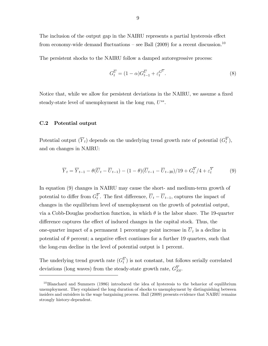The inclusion of the output gap in the NAIRU represents a partial hysteresis effect from economy-wide demand fluctuations – see Ball (2009) for a recent discussion.<sup>10</sup>

The persistent shocks to the NAIRU follow a damped autoregressive process:

$$
G_t^{\overline{U}} = (1 - \alpha)G_{t-1}^{\overline{U}} + \varepsilon_t^{G^{\overline{U}}}.
$$
\n(8)

Notice that, while we allow for persistent deviations in the NAIRU, we assume a fixed steady-state level of unemployment in the long run,  $U^{ss}$ .

#### C.2 Potential output

Potential output  $(\overline{Y}_t)$  depends on the underlying trend growth rate of potential  $(G_t^Y)$ , and on changes in NAIRU:

$$
\overline{Y}_t = \overline{Y}_{t-1} - \theta(\overline{U}_t - \overline{U}_{t-1}) - (1 - \theta)(\overline{U}_{t-1} - \overline{U}_{t-20})/19 + G_t^{\overline{Y}}/4 + \varepsilon_t^{\overline{Y}} \tag{9}
$$

In equation (9) changes in NAIRU may cause the short- and medium-term growth of potential to differ from  $G_t^Y$ . The first difference,  $\overline{U}_t - \overline{U}_{t-1}$ , captures the impact of changes in the equilibrium level of unemployment on the growth of potential output, via a Cobb-Douglas production function, in which  $\theta$  is the labor share. The 19-quarter difference captures the effect of induced changes in the capital stock. Thus, the one-quarter impact of a permanent 1 percentage point increase in  $U_t$  is a decline in potential of  $\theta$  percent; a negative effect continues for a further 19 quarters, such that the long-run decline in the level of potential output is 1 percent.

The underlying trend growth rate  $(G_t^Y)$  is not constant, but follows serially correlated deviations (long waves) from the steady-state growth rate,  $G_{SS}^Y$ .

 $10B$ lanchard and Summers (1986) introduced the idea of hysteresis to the behavior of equilibrium unemployment. They explained the long duration of shocks to unemployment by distinguishing between insiders and outsiders in the wage bargaining process. Ball (2009) presents evidence that NAIRU remains strongly history-dependent.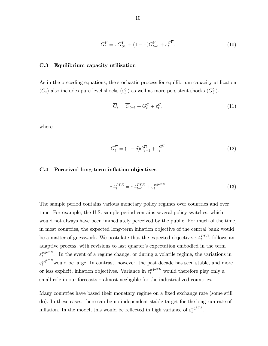$$
G_t^{\overline{Y}} = \tau G_{SS}^{\overline{Y}} + (1 - \tau)G_{t-1}^{\overline{Y}} + \varepsilon_t^{G^{\overline{Y}}}.
$$
\n(10)

#### C.3 Equilibrium capacity utilization

As in the preceding equations, the stochastic process for equilibrium capacity utilization  $(\overline{C}_t)$  also includes pure level shocks  $(\varepsilon_t^C)$  as well as more persistent shocks  $(G_t^C)$ .

$$
\overline{C}_t = \overline{C}_{t-1} + G_t^{\overline{C}} + \varepsilon_t^{\overline{C}},\tag{11}
$$

where

$$
G_t^{\overline{C}} = (1 - \delta)G_{t-1}^{\overline{C}} + \varepsilon_t^{G^{\overline{C}}}
$$
\n(12)

#### C.4 Perceived long-term inflation objectives

$$
\pi 4_t^{LTE} = \pi 4_{t-1}^{LTE} + \varepsilon_t^{\pi 4^{LTE}} \tag{13}
$$

The sample period contains various monetary policy regimes over countries and over time. For example, the U.S. sample period contains several policy switches, which would not always have been immediately perceived by the public. For much of the time, in most countries, the expected long-term inflation objective of the central bank would be a matter of guesswork. We postulate that the expected objective,  $\pi 4_t^{LTE}$ , follows an adaptive process, with revisions to last quarter's expectation embodied in the term  $\varepsilon_t^{\pi4^{LTE}}$  $\tau_t^{4LTE}$ . In the event of a regime change, or during a volatile regime, the variations in  $\varepsilon_t^{\pi^{4LTE}}$  would be large. In contrast, however, the past decade has seen stable, and more or less explicit, inflation objectives. Variance in  $\epsilon_t^{\pi^{4LTE}}$  would therefore play only a small role in our forecasts  $-$  almost negligible for the industrialized countries.

Many countries have based their monetary regime on a fixed exchange rate (some still do). In these cases, there can be no independent stable target for the long-run rate of inflation. In the model, this would be reflected in high variance of  $\varepsilon_t^{\pi 4^{LTE}}$  $\frac{\pi 4^{\mu_1}E}{t}$ .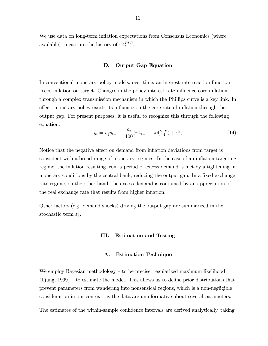We use data on long-term inflation expectations from Consensus Economics (where available) to capture the history of  $\pi 4_t^{LTE}$ .

#### D. Output Gap Equation

In conventional monetary policy models, over time, an interest rate reaction function keeps inflation on target. Changes in the policy interest rate influence core inflation through a complex transmission mechanism in which the Phillips curve is a key link. In effect, monetary policy exerts its influence on the core rate of inflation through the output gap. For present purposes, it is useful to recognize this through the following equation:

$$
y_t = \rho_1 y_{t-1} - \frac{\rho_2}{100} (\pi 4_{t-1} - \pi 4_{t-1}^{LTE}) + \varepsilon_t^y, \tag{14}
$$

Notice that the negative effect on demand from inflation deviations from target is consistent with a broad range of monetary regimes. In the case of an inflation-targeting regime, the inflation resulting from a period of excess demand is met by a tightening in monetary conditions by the central bank, reducing the output gap. In a fixed exchange rate regime, on the other hand, the excess demand is contained by an appreciation of the real exchange rate that results from higher inflation.

Other factors (e.g. demand shocks) driving the output gap are summarized in the stochastic term  $\varepsilon_t^y$  $_t^y$ .

#### III. Estimation and Testing

#### A. Estimation Technique

We employ Bayesian methodology  $-$  to be precise, regularized maximum likelihood (Ljung,  $1999$ ) – to estimate the model. This allows us to define prior distributions that prevent parameters from wandering into nonsensical regions, which is a non-negligible consideration in our context, as the data are uninformative about several parameters.

The estimates of the within-sample confidence intervals are derived analytically, taking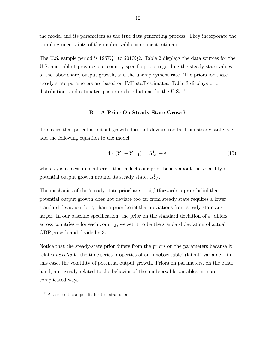the model and its parameters as the true data generating process. They incorporate the sampling uncertainty of the unobservable component estimates.

The U.S. sample period is 1967Q1 to 2010Q2. Table 2 displays the data sources for the U.S. and table 1 provides our country-specific priors regarding the steady-state values of the labor share, output growth, and the unemployment rate. The priors for these steady-state parameters are based on IMF staff estimates. Table 3 displays prior distributions and estimated posterior distributions for the U.S.<sup>11</sup>

#### B. A Prior On Steady-State Growth

To ensure that potential output growth does not deviate too far from steady state, we add the following equation to the model:

$$
4 * (\overline{Y}_t - \overline{Y}_{t-1}) = G_{SS}^{\overline{Y}} + \varepsilon_t \tag{15}
$$

where  $\varepsilon_t$  is a measurement error that reflects our prior beliefs about the volatility of potential output growth around its steady state,  $G_{SS}^Y$ .

The mechanics of the 'steady-state prior' are straightforward: a prior belief that potential output growth does not deviate too far from steady state requires a lower standard deviation for  $\varepsilon_t$  than a prior belief that deviations from steady state are larger. In our baseline specification, the prior on the standard deviation of  $\varepsilon_t$  differs across countries  $-$  for each country, we set it to be the standard deviation of actual GDP growth and divide by 3.

Notice that the steady-state prior differs from the priors on the parameters because it relates *directly* to the time-series properties of an 'unobservable' (latent) variable  $-$  in this case, the volatility of potential output growth. Priors on parameters, on the other hand, are usually related to the behavior of the unobservable variables in more complicated ways.

<sup>&</sup>lt;sup>11</sup>Please see the appendix for technical details.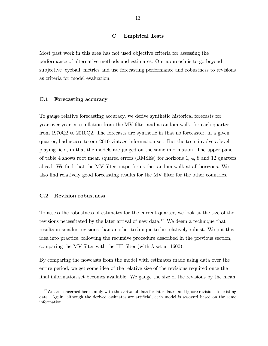# C. Empirical Tests

Most past work in this area has not used objective criteria for assessing the performance of alternative methods and estimates. Our approach is to go beyond subjective 'eyeball' metrics and use forecasting performance and robustness to revisions as criteria for model evaluation.

#### C.1 Forecasting accuracy

To gauge relative forecasting accuracy, we derive synthetic historical forecasts for year-over-year core inflation from the MV filter and a random walk, for each quarter from 1970Q2 to 2010Q2. The forecasts are synthetic in that no forecaster, in a given quarter, had access to our 2010-vintage information set. But the tests involve a level playing Öeld, in that the models are judged on the same information. The upper panel of table 4 shows root mean squared errors (RMSEs) for horizons 1, 4, 8 and 12 quarters ahead. We find that the MV filter outperforms the random walk at all horizons. We also find relatively good forecasting results for the MV filter for the other countries.

# C.2 Revision robustness

To assess the robustness of estimates for the current quarter, we look at the size of the revisions necessitated by the later arrival of new data.<sup>12</sup> We deem a technique that results in smaller revisions than another technique to be relatively robust. We put this idea into practice, following the recursive procedure described in the previous section, comparing the MV filter with the HP filter (with  $\lambda$  set at 1600).

By comparing the nowcasts from the model with estimates made using data over the entire period, we get some idea of the relative size of the revisions required once the final information set becomes available. We gauge the size of the revisions by the mean

 $12$ We are concerned here simply with the arrival of data for later dates, and ignore revisions to existing data. Again, although the derived estimates are artificial, each model is assessed based on the same information.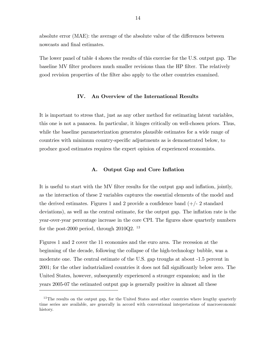absolute error  $(MAE)$ : the average of the absolute value of the differences between nowcasts and final estimates.

The lower panel of table 4 shows the results of this exercise for the U.S. output gap. The baseline MV filter produces much smaller revisions than the HP filter. The relatively good revision properties of the Ölter also apply to the other countries examined.

# IV. An Overview of the International Results

It is important to stress that, just as any other method for estimating latent variables, this one is not a panacea. In particular, it hinges critically on well-chosen priors. Thus, while the baseline parameterization generates plausible estimates for a wide range of countries with minimum country-specific adjustments as is demonstrated below, to produce good estimates requires the expert opinion of experienced economists.

#### A. Output Gap and Core Inflation

It is useful to start with the MV filter results for the output gap and inflation, jointly, as the interaction of these 2 variables captures the essential elements of the model and the derived estimates. Figures 1 and 2 provide a confidence band  $(+/- 2 \text{ standard})$ deviations), as well as the central estimate, for the output gap. The inflation rate is the year-over-year percentage increase in the core CPI. The figures show quarterly numbers for the post-2000 period, through  $2010Q2$ . <sup>13</sup>

Figures 1 and 2 cover the 11 economies and the euro area. The recession at the beginning of the decade, following the collapse of the high-technology bubble, was a moderate one. The central estimate of the U.S. gap troughs at about -1.5 percent in 2001; for the other industrialized countries it does not fall significantly below zero. The United States, however, subsequently experienced a stronger expansion; and in the years 2005-07 the estimated output gap is generally positive in almost all these

<sup>&</sup>lt;sup>13</sup>The results on the output gap, for the United States and other countries where lengthy quarterly time series are available, are generally in accord with conventional intepretations of macroeconomic history.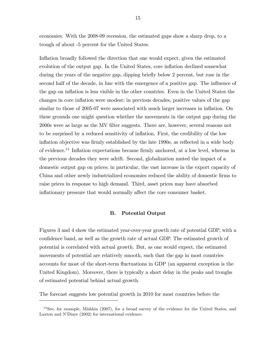economies. With the 2008-09 recession, the estimated gaps show a sharp drop, to a trough of about -5 percent for the United States.

Inflation broadly followed the direction that one would expect, given the estimated evolution of the output gap. In the United States, core inflation declined somewhat during the years of the negative gap, dipping brieáy below 2 percent, but rose in the second half of the decade, in line with the emergence of a positive gap. The influence of the gap on ináation is less visible in the other countries. Even in the United States the changes in core inflation were modest: in previous decades, positive values of the gap similar to those of 2005-07 were associated with much larger increases in inflation. On these grounds one might question whether the movements in the output gap during the 2000s were as large as the MV Ölter suggests. There are, however, several reasons not to be surprised by a reduced sensitivity of inflation. First, the credibility of the low inflation objective was firmly established by the late 1990s, as reflected in a wide body of evidence.<sup>14</sup> Inflation expectations became firmly anchored, at a low level, whereas in the previous decades they were adrift. Second, globalization muted the impact of a domestic output gap on prices; in particular, the vast increase in the export capacity of China and other newly industrialized economies reduced the ability of domestic Örms to raise prices in response to high demand. Third, asset prices may have absorbed inflationary pressure that would normally affect the core consumer basket.

#### B. Potential Output

Figures 3 and 4 show the estimated year-over-year growth rate of potential GDP, with a confidence band, as well as the growth rate of actual GDP. The estimated growth of potential is correlated with actual growth. But, as one would expect, the estimated movements of potential are relatively smooth, such that the gap in most countries accounts for most of the short-term fluctuations in GDP (an apparent exception is the United Kingdom). Moreover, there is typically a short delay in the peaks and troughs of estimated potential behind actual growth.

The forecast suggests low potential growth in 2010 for most countries before the

 $14$ See, for example, Mishkin (2007), for a broad survey of the evidence for the United States, and Laxton and N'Diaye (2002) for international evidence.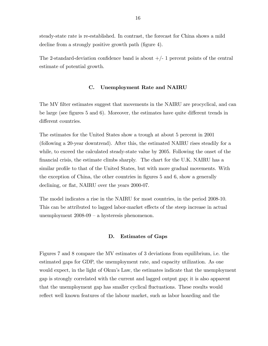steady-state rate is re-established. In contrast, the forecast for China shows a mild decline from a strongly positive growth path (figure 4).

The 2-standard-deviation confidence band is about  $+/-1$  percent points of the central estimate of potential growth.

# C. Unemployment Rate and NAIRU

The MV filter estimates suggest that movements in the NAIRU are procyclical, and can be large (see figures  $5$  and  $6$ ). Moreover, the estimates have quite different trends in different countries.

The estimates for the United States show a trough at about 5 percent in 2001 (following a 20-year downtrend). After this, the estimated NAIRU rises steadily for a while, to exceed the calculated steady-state value by 2005. Following the onset of the Önancial crisis, the estimate climbs sharply. The chart for the U.K. NAIRU has a similar profile to that of the United States, but with more gradual movements. With the exception of China, the other countries in figures  $5$  and  $6$ , show a generally declining, or flat, NAIRU over the years 2000-07.

The model indicates a rise in the NAIRU for most countries, in the period 2008-10. This can be attributed to lagged labor-market effects of the steep increase in actual unemployment  $2008-09 - a$  hysteresis phenomenon.

#### D. Estimates of Gaps

Figures 7 and 8 compare the MV estimates of 3 deviations from equilibrium, i.e. the estimated gaps for GDP, the unemployment rate, and capacity utilization. As one would expect, in the light of Okun's Law, the estimates indicate that the unemployment gap is strongly correlated with the current and lagged output gap; it is also apparent that the unemployment gap has smaller cyclical fluctuations. These results would reflect well known features of the labour market, such as labor hoarding and the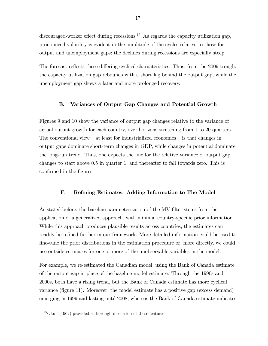discouraged-worker effect during recessions.<sup>15</sup> As regards the capacity utilization gap, pronounced volatility is evident in the amplitude of the cycles relative to those for output and unemployment gaps; the declines during recessions are especially steep.

The forecast reflects these differing cyclical characteristics. Thus, from the 2009 trough, the capacity utilization gap rebounds with a short lag behind the output gap, while the unemployment gap shows a later and more prolonged recovery.

# E. Variances of Output Gap Changes and Potential Growth

Figures 9 and 10 show the variance of output gap changes relative to the variance of actual output growth for each country, over horizons stretching from 1 to 20 quarters. The conventional view  $-$  at least for industrialized economies  $-$  is that changes in output gaps dominate short-term changes in GDP, while changes in potential dominate the long-run trend. Thus, one expects the line for the relative variance of output gap changes to start above 0.5 in quarter 1, and thereafter to fall towards zero. This is confirmed in the figures.

#### F. Refining Estimates: Adding Information to The Model

As stated before, the baseline parameterization of the MV filter stems from the application of a generalized approach, with minimal country-specific prior information. While this approach produces plausible results across countries, the estimates can readily be refined further in our framework. More detailed information could be used to fine-tune the prior distributions in the estimation procedure or, more directly, we could use outside estimates for one or more of the unobservable variables in the model.

For example, we re-estimated the Canadian model, using the Bank of Canada estimate of the output gap in place of the baseline model estimate. Through the 1990s and 2000s, both have a rising trend, but the Bank of Canada estimate has more cyclical variance (figure 11). Moreover, the model estimate has a positive gap (excess demand) emerging in 1999 and lasting until 2008, whereas the Bank of Canada estimate indicates

 $15$ Okun (1962) provided a thorough discussion of these features.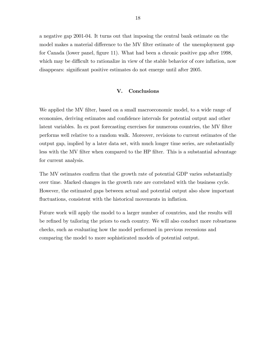a negative gap 2001-04. It turns out that imposing the central bank estimate on the model makes a material difference to the MV filter estimate of the unemployment gap for Canada (lower panel, figure 11). What had been a chronic positive gap after 1998, which may be difficult to rationalize in view of the stable behavior of core inflation, now disappears: significant positive estimates do not emerge until after 2005.

# V. Conclusions

We applied the MV filter, based on a small macroeconomic model, to a wide range of economies, deriving estimates and confidence intervals for potential output and other latent variables. In ex post forecasting exercises for numerous countries, the MV filter performs well relative to a random walk. Moreover, revisions to current estimates of the output gap, implied by a later data set, with much longer time series, are substantially less with the MV filter when compared to the HP filter. This is a substantial advantage for current analysis.

The MV estimates confirm that the growth rate of potential GDP varies substantially over time. Marked changes in the growth rate are correlated with the business cycle. However, the estimated gaps between actual and potential output also show important fluctuations, consistent with the historical movements in inflation.

Future work will apply the model to a larger number of countries, and the results will be refined by tailoring the priors to each country. We will also conduct more robustness checks, such as evaluating how the model performed in previous recessions and comparing the model to more sophisticated models of potential output.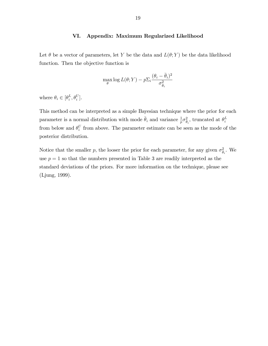# VI. Appendix: Maximum Regularized Likelihood

Let  $\theta$  be a vector of parameters, let Y be the data and  $L(\theta; Y)$  be the data likelihood function. Then the objective function is

$$
\max_{\theta} \log L(\theta;Y) - p \Sigma_i \frac{(\theta_i - \bar{\theta}_i)^2}{\sigma_{\bar{\theta}_i}^2}
$$

where  $\theta_i \in [\theta_i^L]$  $_{i}^{L},\theta_{i}^{U}].$ 

This method can be interpreted as a simple Bayesian technique where the prior for each parameter is a normal distribution with mode  $\bar{\theta}_i$  and variance  $\frac{1}{p}\sigma_{\bar{\theta}_i}^2$ , truncated at  $\theta_i^L$ i from below and  $\theta_i^U$  $i$  from above. The parameter estimate can be seen as the mode of the posterior distribution.

Notice that the smaller p, the looser the prior for each parameter, for any given  $\sigma_{\bar{\theta}_i}^2$ . We use  $p = 1$  so that the numbers presented in Table 3 are readily interpreted as the standard deviations of the priors. For more information on the technique, please see (Ljung, 1999).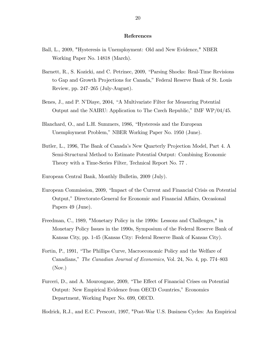#### References

- Ball, L., 2009, "Hysteresis in Unemployment: Old and New Evidence," NBER Working Paper No. 14818 (March).
- Barnett, R., S. Kozicki, and C. Petrinec, 2009, "Parsing Shocks: Real-Time Revisions to Gap and Growth Projections for Canada," Federal Reserve Bank of St. Louis Review, pp.  $247-265$  (July-August).
- Benes, J., and P. N'Diaye, 2004, "A Multivariate Filter for Measuring Potential Output and the NAIRU: Application to The Czech Republic,î IMF WP/04/45.
- Blanchard, O., and L.H. Summers, 1986, "Hysteresis and the European Unemployment Problem," NBER Working Paper No. 1950 (June).
- Butler, L., 1996, The Bank of Canadaís New Quarterly Projection Model, Part 4. A Semi-Structural Method to Estimate Potential Output: Combining Economic Theory with a Time-Series Filter, Technical Report No. 77 .
- European Central Bank, Monthly Bulletin, 2009 (July).
- European Commission, 2009, "Impact of the Current and Financial Crisis on Potential Output," Directorate-General for Economic and Financial Affairs, Occasional Papers 49 (June).
- Freedman, C., 1989, "Monetary Policy in the 1990s: Lessons and Challenges," in Monetary Policy Issues in the 1990s, Symposium of the Federal Reserve Bank of Kansas City, pp. 1-45 (Kansas City: Federal Reserve Bank of Kansas City).
- Fortin, P., 1991, "The Phillips Curve, Macroeconomic Policy and the Welfare of Canadians," The Canadian Journal of Economics, Vol. 24, No. 4, pp. 774–803 (Nov.)
- Furceri, D., and A. Mourougane, 2009, "The Effect of Financial Crises on Potential Output: New Empirical Evidence from OECD Countries," Economics Department, Working Paper No. 699, OECD.

Hodrick, R.J., and E.C. Prescott, 1997, "Post-War U.S. Business Cycles: An Empirical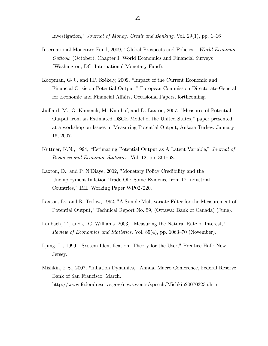Investigation," Journal of Money, Credit and Banking, Vol. 29(1), pp. 1–16

- International Monetary Fund, 2009, "Global Prospects and Policies," World Economic Outlook, (October), Chapter I, World Economics and Financial Surveys (Washington, DC: International Monetary Fund).
- Koopman, G-J., and I.P. Székely, 2009, "Impact of the Current Economic and Financial Crisis on Potential Output," European Commission Directorate-General for Economic and Financial Affairs, Occasional Papers, forthcoming.
- Juillard, M., O. Kamenik, M. Kumhof, and D. Laxton, 2007, "Measures of Potential Output from an Estimated DSGE Model of the United States," paper presented at a workshop on Issues in Measuring Potential Output, Ankara Turkey, January 16, 2007.
- Kuttner, K.N., 1994, "Estimating Potential Output as A Latent Variable," Journal of Business and Economic Statistics, Vol. 12, pp. 361–68.
- Laxton, D., and P. N'Diaye, 2002, "Monetary Policy Credibility and the Unemployment-Inflation Trade-Off: Some Evidence from 17 Industrial Countries," IMF Working Paper WP02/220.
- Laxton, D., and R. Tetlow, 1992, "A Simple Multivariate Filter for the Measurement of Potential Output," Technical Report No. 59, (Ottawa: Bank of Canada) (June).
- Laubach, T., and J. C. Williams. 2003, "Measuring the Natural Rate of Interest," *Review of Economics and Statistics, Vol.* 85(4), pp. 1063–70 (November).
- Ljung, L., 1999, "System Identification: Theory for the User," Prentice-Hall: New Jersey.
- Mishkin, F.S., 2007, "Ináation Dynamics," Annual Macro Conference, Federal Reserve Bank of San Francisco, March. http://www.federalreserve.gov/newsevents/speech/Mishkin20070323a.htm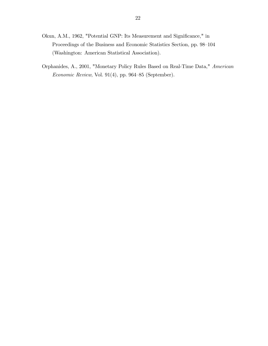- Okun, A.M., 1962, "Potential GNP: Its Measurement and Significance," in Proceedings of the Business and Economic Statistics Section, pp. 98–104 (Washington: American Statistical Association).
- Orphanides, A., 2001, "Monetary Policy Rules Based on Real-Time Data," American  $Economic Review$ , Vol. 91(4), pp. 964–85 (September).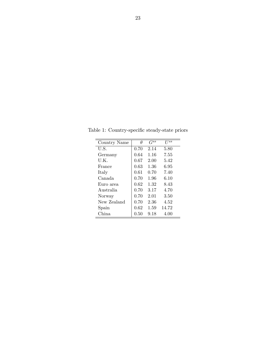| Country Name | Ĥ    | $G^{ss}$ | $II^{ss}$ |
|--------------|------|----------|-----------|
| U.S.         | 0.70 | 2.14     | 5.80      |
| Germany      | 0.64 | 1.16     | 7.55      |
| U.K.         | 0.67 | 2.00     | 5.42      |
| France       | 0.63 | 1.36     | 6.95      |
| Italy        | 0.61 | 0.70     | 7.40      |
| Canada       | 0.70 | 1.96     | 6.10      |
| Euro area    | 0.62 | 1.32     | 8.43      |
| Australia    | 0.70 | 3.17     | 4.70      |
| Norway       | 0.70 | 2.01     | 3.50      |
| New Zealand  | 0.70 | 2.36     | 4.52      |
| $S$ pain     | 0.62 | 1.59     | 14.72     |
| China        | 0.50 | 9.18     | 4.00      |
|              |      |          |           |

Table 1: Country-specific steady-state priors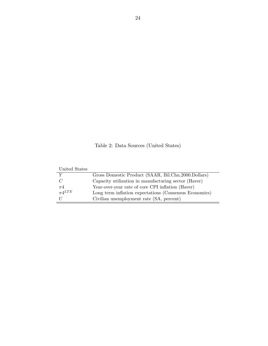Table 2: Data Sources (United States)

| United States  |                                                        |
|----------------|--------------------------------------------------------|
|                | Gross Domestic Product (SAAR, Bil.Chn.2000.Dollars)    |
| $\overline{C}$ | Capacity utilization in manufacturing sector (Haver)   |
| $\pi$ 4        | Year-over-year rate of core CPI inflation (Haver)      |
| $\pi 4^{LTE}$  | Long term inflation expectations (Consensus Economics) |
|                | Civilian unemployment rate (SA, percent)               |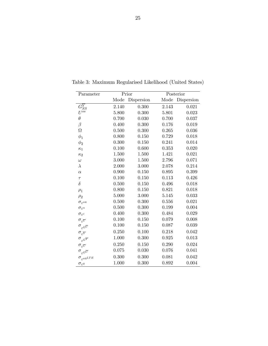| Parameter                                 | Prior |            |       | Posterior  |  |  |
|-------------------------------------------|-------|------------|-------|------------|--|--|
|                                           | Mode  | Dispersion | Mode  | Dispersion |  |  |
| $G_{SS}^{\overline{Y}}$                   | 2.140 | 0.300      | 2.143 | 0.021      |  |  |
| $U^{ss}$                                  | 5.800 | 0.300      | 5.801 | 0.023      |  |  |
| $\theta$                                  | 0.700 | 0.030      | 0.700 | 0.037      |  |  |
| $\beta$                                   | 0.400 | 0.300      | 0.176 | 0.019      |  |  |
| Ω                                         | 0.500 | 0.300      | 0.265 | 0.036      |  |  |
| $\phi_1$                                  | 0.800 | 0.150      | 0.729 | 0.018      |  |  |
| $\phi_2$                                  | 0.300 | 0.150      | 0.241 | 0.014      |  |  |
| $\kappa_1$                                | 0.100 | 0.600      | 0.353 | 0.020      |  |  |
| $\kappa_2$                                | 1.500 | $1.500\,$  | 1.421 | 0.021      |  |  |
| $\omega$                                  | 3.000 | 1.500      | 2.796 | 0.071      |  |  |
| $\lambda$                                 | 2.000 | 3.000      | 2.078 | 0.214      |  |  |
| $\alpha$                                  | 0.900 | 0.150      | 0.895 | 0.399      |  |  |
| $\tau$                                    | 0.100 | 0.150      | 0.113 | 0.426      |  |  |
| $\delta$                                  | 0.500 | 0.150      | 0.496 | 0.018      |  |  |
| $\rho_1$                                  | 0.800 | 0.150      | 0.821 | 0.018      |  |  |
| $\rho_2$                                  | 5.000 | 3.000      | 5.145 | 0.033      |  |  |
| $\sigma_{\varepsilon^{\pi 4}}$            | 0.500 | 0.300      | 0.556 | 0.021      |  |  |
| $\sigma_{\varepsilon^u}$                  | 0.500 | 0.300      | 0.199 | 0.004      |  |  |
| $\sigma_{\varepsilon^c}$                  | 0.400 | 0.300      | 0.484 | 0.029      |  |  |
| $\sigma_{\varepsilon\overline{U}}$        | 0.100 | 0.150      | 0.079 | 0.008      |  |  |
| $\sigma_{\varepsilon^{G^{\overline{U}}}}$ | 0.100 | 0.150      | 0.087 | 0.039      |  |  |
| $\sigma_{\varepsilon^{\overline{Y}}}$     | 0.250 | 0.100      | 0.218 | 0.042      |  |  |
| $\sigma_{\varepsilon^{G^{\overline{Y}}}}$ | 1.000 | 0.300      | 0.925 | 0.013      |  |  |
| $\sigma_{\varepsilon\overline{C}}$        | 0.250 | 0.150      | 0.290 | 0.024      |  |  |
| $\sigma_{\epsilon G}$                     | 0.075 | 0.030      | 0.076 | 0.041      |  |  |
| $\sigma_{\varepsilon^{\pi 4^{LTE}}}$      | 0.300 | 0.300      | 0.081 | 0.042      |  |  |
| $\sigma_{\varepsilon}$ y                  | 1.000 | 0.300      | 0.892 | 0.004      |  |  |

Table 3: Maximum Regularised Likelihood (United States)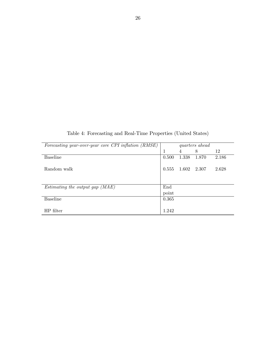Table 4: Forecasting and Real-Time Properties (United States)

| Forecasting year-over-year core CPI inflation (RMSE) | <i>quarters</i> ahead |             |       |       |
|------------------------------------------------------|-----------------------|-------------|-------|-------|
|                                                      | 1                     | 4           | 8     | 12    |
| <b>Baseline</b>                                      | 0.500                 | 1.338       | 1.870 | 2.186 |
|                                                      |                       |             |       |       |
| Random walk                                          | 0.555                 | 1.602 2.307 |       | 2.628 |
|                                                      |                       |             |       |       |
|                                                      |                       |             |       |       |
| Estimating the output gap (MAE)                      | End                   |             |       |       |
|                                                      | point                 |             |       |       |
| <b>Baseline</b>                                      | 0.365                 |             |       |       |
|                                                      |                       |             |       |       |
| HP filter                                            | 1.242                 |             |       |       |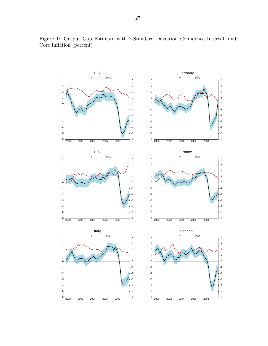

Figure 1: Output Gap Estimate with 2-Standard Deviation Confidence Interval, and Core Inflation (percent)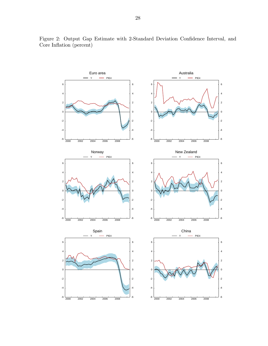

Figure 2: Output Gap Estimate with 2-Standard Deviation Confidence Interval, and Core Inflation (percent)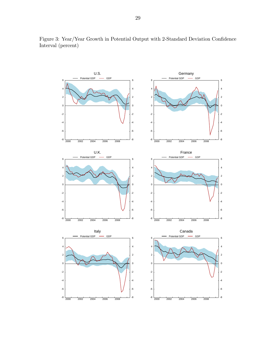

Figure 3: Year/Year Growth in Potential Output with 2-Standard Deviation Confidence Interval (percent)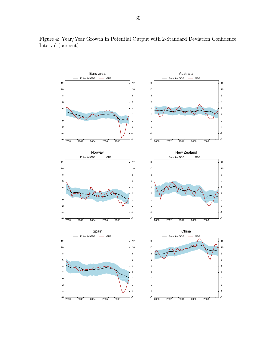

Figure 4: Year/Year Growth in Potential Output with 2-Standard Deviation Confidence Interval (percent)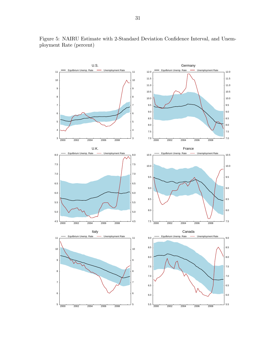

Figure 5: NAIRU Estimate with 2-Standard Deviation Confidence Interval, and Unemployment Rate (percent)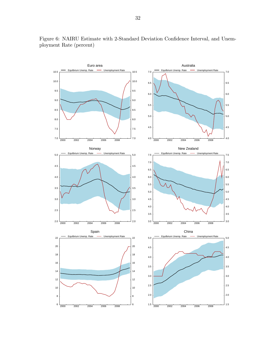

Figure 6: NAIRU Estimate with 2-Standard Deviation Confidence Interval, and Unemployment Rate (percent)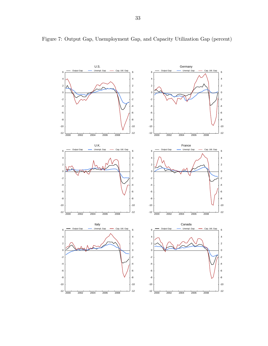

Figure 7: Output Gap, Unemployment Gap, and Capacity Utilization Gap (percent)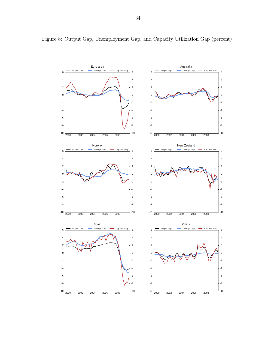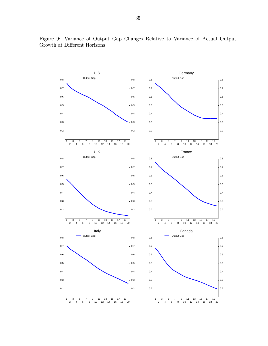

Figure 9: Variance of Output Gap Changes Relative to Variance of Actual Output Growth at Different Horizons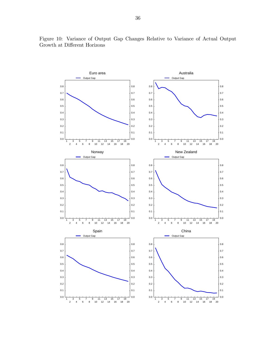

Figure 10: Variance of Output Gap Changes Relative to Variance of Actual Output Growth at Different Horizons